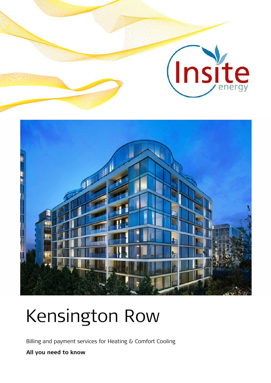

# Kensington Row

Billing and payment services for Heating & Comfort Cooling

**All you need to know**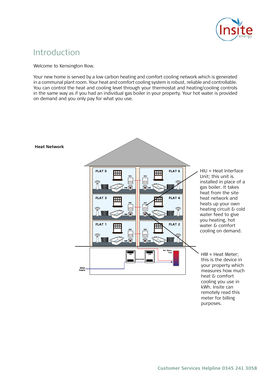

## Introduction Introduction

Welcome to Kensington Row.

Your new home is served by a low carbon heating and comfort cooling network which is generated in a communal plant room. Your heat and comfort cooling system is robust, reliable and controllable. You can control the heat and cooling level through your thermostat and heating/cooling controls in the same way as if you had an individual gas boiler in your property. Your hot water is provided on demand and you only pay for what you use.



purposes.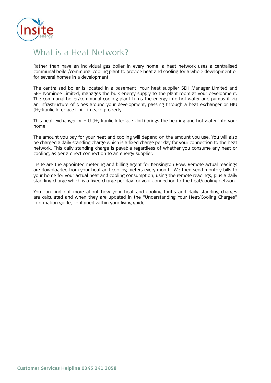

# What is a Heat Network?

Rather than have an individual gas boiler in every home, a heat network uses a centralised communal boiler/communal cooling plant to provide heat and cooling for a whole development or for several homes in a development.

The centralised boiler is located in a basement. Your heat supplier SEH Manager Limited and SEH Nominee Limited, manages the bulk energy supply to the plant room at your development. The communal boiler/communal cooling plant turns the energy into hot water and pumps it via an infrastructure of pipes around your development, passing through a heat exchanger or HIU (Hydraulic Interface Unit) in each property. This heating and hot water into your water into your water into your water into your water into your water into your water into your water into your water into your water into y home.

This heat exchanger or HIU (Hydraulic Interface Unit) brings the heating and hot water into your This heat exchanger or HIU (Hydraulic Interface Unit) brings the heating and hot water into your home. home.  $\blacksquare$  The amount you pay for your heating and home.

The amount you pay for your heat and cooling will depend on the amount you use. You will also be charged a daily standing charge which is a fixed charge per day for your connection to the heat network. This daily standing charge is payable regardless of whether you consume any heat or cooling, as per a direct connection to an energy supplier. as the metering and billing agent for Kensington Row. SEH  $\mathcal{L}_{\text{R}}$  and SEH  $\mathcal{L}_{\text{R}}$ 

Insite are the appointed metering and billing agent for Kensington Row. Remote actual readings are downloaded from your heat and cooling meters every month. We then send monthly bills to your home for your actual heat and cooling consumption, using the remote readings, plus a daily standing charge which is a fixed charge per day for your connection to the heat/cooling network. connection to the heat/cooling network. If at any time SES Nominee Ltd is unable to provide us  $\mathcal{L}$  Limited and SEH Nominee Limited is unable to provide us with the provide us with the provide us with the provide us with the set of  $\mathcal{L}$ 

You can find out more about how your heat and cooling tariffs and daily standing charges information guide, contained within your living guide. calculated and when they are updated in the "Understanding Your Heat/Cooling Charges" when they are updated in the "Understanding" in the "Understanding" information guide. The "Understanding" information guide. are calculated and when they are updated in the "Understanding Your Heat/Cooling Charges"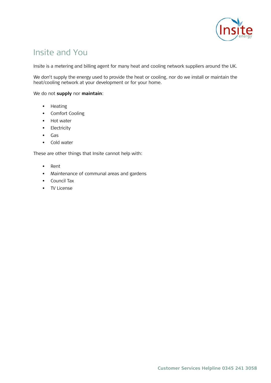

# Insite and You

Insite is a metering and billing agent for many heat and cooling network suppliers around the UK. UK. We work on behalf of the suppliers such as SES Nominee Ltd to provide billing and payment

We don't supply the energy used to provide the heat or cooling, nor do we install or maintain the Insite has been appointed by SES Nominee Ltd to manage your heat and comfort cooling heat/cooling network at your development or for your home.

We do not **supply** nor **maintain**:

- $\mathbf{A}$  don't supply used to provide the heat or cooling, nor do we install or maintain  $\mathbf{A}$ the heating network at your development or for your development or for your home. • Heating
- Comfort Cooling
	- Hot water
	- Electricity
	- $Gas$
	- Cold water

These are other things that Insite cannot help with:

- Cold water • Rent
- Maintenance of communal areas and gardens<br>• SES Nominee Ltd. They own and paid for by SES North and Disc. They own and and gardens
- Council Tax
	- TV License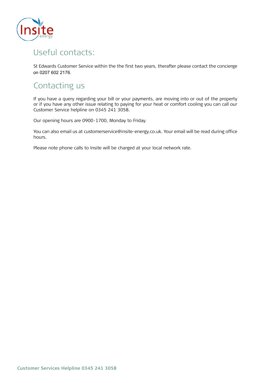

# Useful contacts:

St Edwards Customer Service within the the first two years, therafter please contact the concierge The SES Nominee Ltd maintenance contact is: the Concierge communal boiler to provide heat for a whole development or for several homes in a development. on 0207 602 2176. $T_{\rm eff}$  is usually located in a basement or external plant room. The base measurement of  $T_{\rm eff}$ 

# Your heat supplier SEH Manager Limited and SEH Nominee Limited, and SEH Nominee Limited, and SEH Nominee Limited, and SEH Nominee Limited, and SEH Nominee Limited, and SEH Nominee Limited, and SEH Nominee Limited, and SEH

If you have a query regarding your bill or your payments, are moving into or out of the property If you have any out to have regarding to your heart of comment cooling you can can but castomer service relyming on os is a relation of your heat or component component commonly you can call our call our call our call our call our call our call our call our call our call our call our call our call our call o or if you have any other issue relating to paying for your heat or comfort cooling you can call our Customer Service helpline on 0345 241 3058. The heating and hot water into your water into your water into your

Our opening hours are 0900-1700, Monday to Friday. The amount you pay for your heating and hot water will depend on the amount you use. You will

.<br>You can also email us at customerservice@insite-energy.co.uk. Your email will be read during office  $\gamma$  can also email us at customers  $\alpha$ . Your email will be read during the read during  $\alpha$ district heat network. This daily standardless of whether you consumed the whether you consumed the whole whether you consumed the standard of whether you consumed the whole whether you consumed the standard of whether you hours.

Please note phone calls to Insite will be charged at your local network rate. SEH Manager Limited and SEH Nominee Limited c/o St. Edward Homes Limited has appointed Insite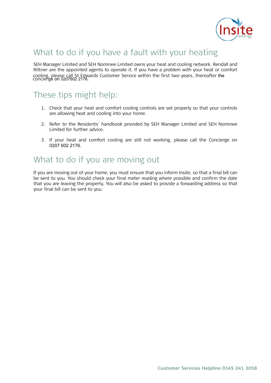

# What to do if you have a fault with your heating

SEH Manager Limited and SEH Nominee Limited owns your heat and cooling network. Rendall and Rittner are the appointed agents to operate it. If you have a problem with your heat or comfort cooling, please call St Edwards Customer Service within the first two years, thereatter the  $\frac{1}{2}$  contract go on a contract room, power extension, powered by gas boilers. You have seen in  $\frac{1}{2}$ cooling, please call St Edwards Customer Service within the first two years, thereafter the<br>concierge on 0207602 2176.

#### 1. Check that you reach and components are set properly so that you reach your controls are set properly so th  $T_{\text{back}}$  tine might halp: incod ups might neip. These tips might help: These tips might help:

- 1. Check that your heat and comfort cooling controls are set properly so that your controls are allowing heat and cooling into your home.
- 2. Refer to the Residents' handbook provided by SEH Manager Limited and SEH Nominee Limited for further advice. The Concierge are still not working, please call the Concierge . The Concierge . The Concierge are still the Concierge . The Concierge are still the Concierge . The Concierge are still be concie
- **District Heat Network** What to do if you are moving out 0207 602 2176. 3. If your heat and comfort cooling are still not working, please call the Concierge on

#### $M$ hat to do if you are moving out What to do if you are moving out

date that you are leaving the property. You will also be asked to provide a forwarding address so If you are moving out of your home, you must ensure that you inform Insite, so that a final bill can be sent to you. You should check your final meter reading where possible and confirm the date that you are leaving the property. You will also be asked to provide a forwarding address so that your final bill can be sent to you.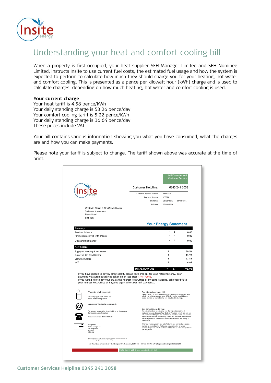

# Understanding your heat and comfort cooling bill

When a property is first occupied, your heat supplier SEH Manager Limited and SEH Nominee Limited, instructs Insite to use current fuel costs, the estimated fuel usage and how the system is expected to perform to calculate how much they should charge you for your heating, hot water and comfort cooling. This is presented as a pence per kilowatt hour (kWh) charge and is used to calculate charges, depending on how much heating, hot water and comfort cooling is used.

#### **the energy into hot water and pumps into hot water and pumps it via an infrastructure of pipes around your current charge**

Your heat tariff is 4.58 pence/kWh each property. The each property of the property of the each property. Your daily standing charge is 53.26 pence/day Your comfort cooling tariff is 5.22 pence/KWh These prices include VAT. The amount you will depend on the amount you will depend on the amount you will depend on the amount you will depend on the amount you will depend on the amount you will depend on the amount you w Tour commore cooling tamm is 5.22 pence/KWH<br>Your daily standing charge is 16.64 pence/day  $S = \frac{1}{\sqrt{2}}$  instructed Insite to send you for your analysis to charge you for your actual to charge you for your actual to charge you for your actual to charge you for your actual to charge you for your actual to charg

.<br>Your bill contains various information showing you what you have consumed, what the charge are and how you can make payments. Your bill contains various information showing you what you have consumed, what the charges

 $\mathbf{B}$ Please note your tariff is subject to change. The tariff shown above was accurate at the time of as the metering and billing and billing and billing agent for Kensington Row. SEH  $\sim$  SEH  $\sim$  SEH Nomineee  $\sim$ Please note your tariff is subject to change. The tariff shown above was accurate at the time of<br>Print print.

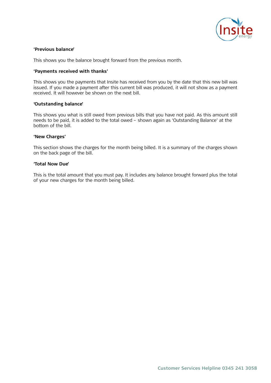

# **'Previous balance'**  Introduction **'Previous balance'**

This shows you the balance brought forward from the previous month. This shows you the balance brought forward from the previous month.

#### **'Payments received with thanks' 'Payments thanks'**

This shows you the payments that Insite has received from you by the date that this new bill was issued. If you made a payment after this current bill was produced, it will not show as a payment received. It will however be shown on the next bill.

#### **'Outstanding balance' 'Outstanding balance'**

This shows you what is still owed from previous bills that you have not paid. As this amount still This shows you what is still owed from previous bills that you have not paid. As this amount still needs to be paid, it is added to the total owed – shown again as 'Outstanding Balance' at the needs to be paid, it is added to the total owed – shown again as 'Outstanding Balance' at the bottom of the bill. bottom of the bill.

#### **'New Charges' 'New Charges'**

This section shows the charges for the month being billed. It is a summary of the charges shown on the back page of the bill. on the back page of the bill.

#### **'Total Now Due' 'Total Now Due'**

This is the total amount that you must pay. It includes any balance brought forward plus the This is the total amount that you must pay. It includes any balance brought forward plus the total of your new charges for the month being billed.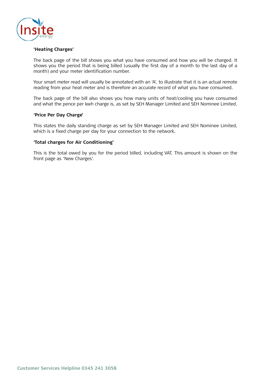

# **'Heating Charges'**  What is a District Heat Network? **'Heating Charges'**

The back page of the bill shows you what you have consumed and how you will be charged. It The back page of the bill shows you what you have consumed and how you will be charged. It shows you the period that is being billed (usually the first day of a month to the last day of a month) and your meter identification number.

Your smart meter read will usually be annotated with an 'A', to illustrate that it is an actual Your smart meter read will usually be annotated with an 'A', to illustrate that it is an actual remote reading from your heat meter and is therefore an accurate record of what you have consumed.

and what the pence per kwh charge is, as set by SEH Manager Limited and SEH Nominee Limited. The back page of the bill also shows you how many units of heat/cooling you have consumed

#### 'Price Per Day Charge'

This states the daily standing charge as set by SEH Manager Limited and SEH Nominee Limited, which is a fixed charge per day for your connection to the network.

#### for your connection to the network. any heating or hot water, as per a direct connection to an energy supplier. **'Total charges for Air Conditioning'**

This is the total owed by you for the period billed, including VAT. This amount is shown on the front page as 'New Charges'. See Settleman Row. SEH Manager Limited and SEH Nomineers and SEH Nomineers and SEH Nomineers and SEH Nomineers and SEH Nomineers and SEH Nomineers and SEH Nomineers and SEH Nomineers and SEH No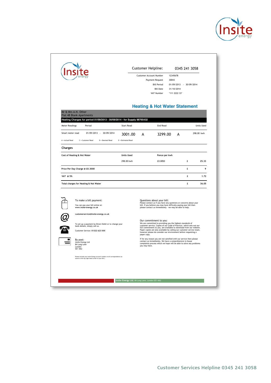

| Mr & Mrs A.N. Other<br><b>Flat 48 Blank Apartments</b><br>Heating Charges for period 01/09/2013 - 30/09/2014 - for Supply 98765432<br><b>Meter Readings</b><br>Period<br>01/09/2013 - 30/09/2014<br>Smart meter read<br>A - Actual Read<br>C = Customer Read<br>D = Deemed Read<br><b>Charges</b><br>Cost of Heating & Hot Water<br>Price Per Day Charge @ £0,3000<br>VAT @ 5% | <b>Start Read</b><br>3001.00<br>E - Estimated Read<br><b>Units Used</b><br>298.00 kwh | A | <b>Heating &amp; Hot Water Statement</b><br><b>End Read</b><br>3299.00<br>Pence per kwh<br>£0.0850                                                                                                                                                                                                                                                                                            | А | £ | <b>Units Used</b><br>298.00 kwh<br>25.33 |  |
|--------------------------------------------------------------------------------------------------------------------------------------------------------------------------------------------------------------------------------------------------------------------------------------------------------------------------------------------------------------------------------|---------------------------------------------------------------------------------------|---|-----------------------------------------------------------------------------------------------------------------------------------------------------------------------------------------------------------------------------------------------------------------------------------------------------------------------------------------------------------------------------------------------|---|---|------------------------------------------|--|
|                                                                                                                                                                                                                                                                                                                                                                                |                                                                                       |   |                                                                                                                                                                                                                                                                                                                                                                                               |   |   |                                          |  |
|                                                                                                                                                                                                                                                                                                                                                                                |                                                                                       |   |                                                                                                                                                                                                                                                                                                                                                                                               |   |   |                                          |  |
|                                                                                                                                                                                                                                                                                                                                                                                |                                                                                       |   |                                                                                                                                                                                                                                                                                                                                                                                               |   |   |                                          |  |
|                                                                                                                                                                                                                                                                                                                                                                                |                                                                                       |   |                                                                                                                                                                                                                                                                                                                                                                                               |   |   |                                          |  |
|                                                                                                                                                                                                                                                                                                                                                                                |                                                                                       |   |                                                                                                                                                                                                                                                                                                                                                                                               |   |   |                                          |  |
|                                                                                                                                                                                                                                                                                                                                                                                |                                                                                       |   |                                                                                                                                                                                                                                                                                                                                                                                               |   |   |                                          |  |
|                                                                                                                                                                                                                                                                                                                                                                                |                                                                                       |   |                                                                                                                                                                                                                                                                                                                                                                                               |   | £ | 9                                        |  |
|                                                                                                                                                                                                                                                                                                                                                                                |                                                                                       |   |                                                                                                                                                                                                                                                                                                                                                                                               |   | £ | 1.72                                     |  |
| Total charges for Heating & Hot Water                                                                                                                                                                                                                                                                                                                                          |                                                                                       |   |                                                                                                                                                                                                                                                                                                                                                                                               |   | £ | 36.05                                    |  |
| To make a bill payment:<br>You can pay your bill online at:<br>www.insite-energy.co.uk                                                                                                                                                                                                                                                                                         |                                                                                       |   | Questions about your bill:<br>Please contact us if you have any questions or concerns about your<br>bill. If you believe you may have difficulty paying your bill then<br>please contact us immediately - we may be able to help.                                                                                                                                                             |   |   |                                          |  |
| customerservice@insite-energy.co.uk<br>bank details, simply call us.<br>Customer Service: 01322 623 XXX                                                                                                                                                                                                                                                                        | To set up a payment by Direct Debit or to change your                                 |   | Our commitment to you:<br>We are committed to providing you the highest standards of<br>customer service. Copies of our Code of Practice, which sets out our<br>full commitment to you, are available to download from our website.<br>Paper copies are also available by calling our customer service team,<br>however please do consider our environment before requesting a<br>paper copy. |   |   |                                          |  |
| By post:<br>Insite Energy Ltd<br>84 Long Lane<br>London<br>SE1 4AU                                                                                                                                                                                                                                                                                                             |                                                                                       |   | If for any reason you are not satisfied with our service then please<br>contact us immediately. We have a comprehensive in-house<br>complaints process which we hope will be able to solve any problems<br>you may have.                                                                                                                                                                      |   |   |                                          |  |
| Please include your Insite Energy account number on all correspondence (as shown in the top right hand corner of your bill.)                                                                                                                                                                                                                                                   |                                                                                       |   |                                                                                                                                                                                                                                                                                                                                                                                               |   |   |                                          |  |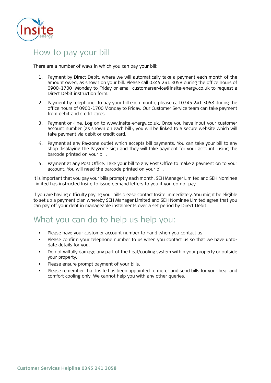

## How to pay your bill

There are a number of ways in which you can pay your bill: communal boiler to provide heat for a whole development or for several homes in a development.

- 1. Payment by Direct Debit, where we will automatically take a payment each month of the amount owed, as shown on your bill. Please call 0345 241 3058 during the office hours of 0900-1700 Monday to Friday or email customerservice@insite-energy.co.uk to request a Direct Debit instruction form. The plant room at your development of the plant room at your development.
- 2. Payment by telephone. To pay your bill each month, please call 0345 241 3058 during the office hours of 0900-1700 Monday to Friday. Our Customer Service team can take payment from debit and credit cards.
- 3. Payment on-line. Log on to www.insite-energy.co.uk. Once you have input your customer account number (as shown on each bill), you will be linked to a secure website which will take payment via debit or credit card.
- shop displaying the Payzone sign and they will take payment for your account, using the EH Manager Limited and They will take they will take payment for your account, using the barcode printed on your bill. 4. Payment at any Payzone outlet which accepts bill payments. You can take your bill to any as the metering and billing agent for  $K_{\rm eff}$  manifolds and SEH  $\mu$  Manager Limited and SEH  $\mu$
- account. You will need the barcode printed on your bill. 5. Payment at any Post Office. Take your bill to any Post Office to make a payment on to your

your account. You will need the barcode printed on your bill. water consumption, using the remote readings, plus a daily standing charge which is a fixed Limited has instructed Insite to issue demand letters to you if you do not pay. It is important that you pay your bills promptly each month. SEH Manager Limited and SEH Nominee

Insite to issue demand letters to you if you do not pay. actual meter readings, Insite will send you a bill based on an estimated read. to set up a payment plan whereby SEH Manager Limited and SEH Nominee Limited agree that you can pay off your debt in manageable instalments over a set period by Direct Debit. If you are having difficulty paying your bills please contact Insite immediately. You might be eligible

### What you can do to help us help you:

- Please have your customer account number to hand when you contact us.
	- date details for you. The same you contact use of the same you contact use of the same you contact use of the same you contact use of the same you contact use of the same you contact use of the same you contact use of the • Please confirm your telephone number to us when you contact us so that we have upto-
	- Do not wilfully damage any part of the heat/cooling system within your property or outside your property.
	- Please ensure prompt payment of your bills.
	- Please remember that Insite has been appointed to meter and send bills for your heat and comfort cooling only. We cannot help you with any other queries.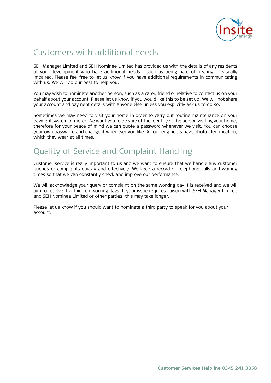

# Customers with additional needs

identification, which they wear at all times.

SEH Manager Limited and SEH Nominee Limited has provided us with the details of any residents at your development who have additional needs - such as being hard of hearing or visually impaired. Please feel free to let us know if you have additional requirements in communicating with us. We will do our best to help you. Your heating system is robust, which was a very heat to heat to heat

You may wish to nominate another person, such as a carer, friend or relative to contact us on your behalf about your account. Please let us know if you would like this to be set up. We will not share your account and payment details with anyone else unless you explicitly ask us to do so. so.

payment system or meter. We want you to be sure of the identity of the person visiting your home, therefore for your peace of mind we can quote a password whenever we visit. You can choose your own password and change it whenever you like. All our engineers have photo identification, which they wear at all times. The vertex of the vertex of the photon photon is which they wear at all times. Sometimes we may need to visit your home in order to carry out routine maintenance on your

# Quality of Service and Complaint Handling

Customer service is really important to us and we want to ensure that we handle any customer times so that we can constantly check and improve our performance.  $q$  complete or complete the complete telephone calls and waiting a record of telephone calls and waiting and waiting and waiting and waiting  $\alpha$ queries or complaints quickly and effectively. We keep a record of telephone calls and waiting

We will acknowledge your query or complaint on the same working day it is received and we will and SEH Nominee Limited or other parties, this may take longer. aim to resolve it with the working days. If  $\mathcal{L}$  you is substitute  $\mathcal{L}$  and  $\mathcal{L}$ aim to resolve it within ten working days. If your issue requires liaison with SEH Manager Limited

Please let us know if you should want to nominate a third party to speak for you about your account.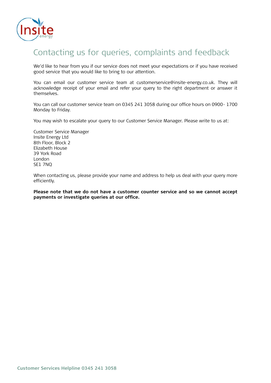

# Contacting us for queries, complaints and feedback

We'd like to hear from you if our service does not meet your expectations or if you have received good service that you would like to bring to our attention. The centralised boiler is usually located in a basement or external plant room.

You can email our customer service team at customerservice@insite-energy.co.uk. They will You can email our customer service team at customerservice@insite-energy.co.uk. They will acknowledge receipt of your email and refer your query to the right department or answer it themselves. The plant room at your development of the plant room at your development. The community of the plant room at your development. The community of the plant room at your development. The community of the community

You can call our customer service team on 0345 241 3058 during our office hours on 0900- 1700 Monday to Friday. This heat exchange or HIU (Hydraulic Interface Unit) brings the heating and hot water into your water into your water into your water into your water into your water into your water into your water into y

You may wish to escalate your query to our Customer Service Manager. Please write to us at: You may wish to escalate your query to our Customer Service Manager. Please write to us at: The amount you pay for your heating and hot water will depend on the amount you use. You will

Customer Service Manager also be charged a daily standing charge which is a fixed charge per day for your connection to the Customer Service Manager Insite Energy Ltd 8th Floor, Block 2 and the series of the series of the series of the series of the series of the series of the series of the series of the series of the series of the series of the series of the series of the series of the Elizabeth House 39 York Road and SEH Nominee Limited and SEH Nominee Limited and SEH Nominee Limited has approximated insite discussion of the SEH Nominee Limited and SEH Nominee Limited insite discussion of the SEH Nominee Limited Insite When contacting us, please provide your name and address to help us deal with your query more as the metering and billing and billing and billing agent for Kensington Row. SEH Manager Limited and SEH Nomineers and SEH Nomineers and SEH Nomineers and SEH Nomineers and SEH Nomineers and SEH Nomineers and SEH Nomineer  $\mathsf{S}\mathsf{F}1$   $\mathsf{7NO}$   $\mathsf{N}$ London SE1 7NQ

**Please increase that we do not have a customer counter service and so we can not we can not a construct a payments or investigate queries at our office.**  When contacting us, please provide your name and address to help us deal with your query more charge per day for your connection to the district heat network. If at any time SEH Manager  $\alpha$  $L$ imited and SEH  $N$  Nominee Limited c/o  $S$ t. Edward Homes Limited is unable to provide us with  $\alpha$ efficiently.

Please note that we do not have a customer counter service and so we cannot accept You can find out more about how your heat tariff and daily standing charge are calculated and **payments or investigate queries at our office.**